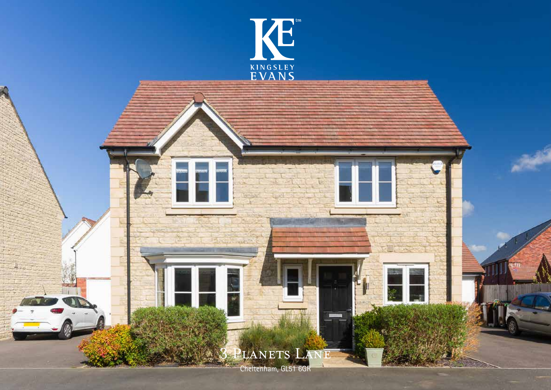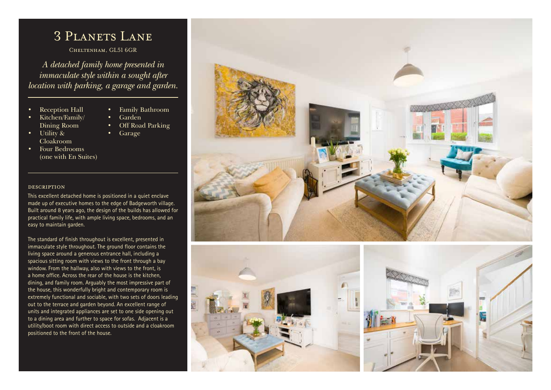## 3 PLANETS LANE

Cheltenham, GL51 6GR

*A detached family home presented in immaculate style within a sought after location with parking, a garage and garden.* 

• Family Bathroom

• Off Road Parking

• Garden

• Garage

- **Reception Hall**
- Kitchen/Family/ Dining Room
- Utility & Cloakroom
- Four Bedrooms (one with En Suites)

## description

This excellent detached home is positioned in a quiet enclave made up of executive homes to the edge of Badgeworth village. Built around 8 years ago, the design of the builds has allowed for practical family life, with ample living space, bedrooms, and an easy to maintain garden.

The standard of finish throughout is excellent, presented in immaculate style throughout. The ground floor contains the living space around a generous entrance hall, including a spacious sitting room with views to the front through a bay window. From the hallway, also with views to the front, is a home office. Across the rear of the house is the kitchen, dining, and family room. Arguably the most impressive part of the house, this wonderfully bright and contemporary room is extremely functional and sociable, with two sets of doors leading out to the terrace and garden beyond. An excellent range of units and integrated appliances are set to one side opening out to a dining area and further to space for sofas. Adjacent is a utility/boot room with direct access to outside and a cloakroom positioned to the front of the house.



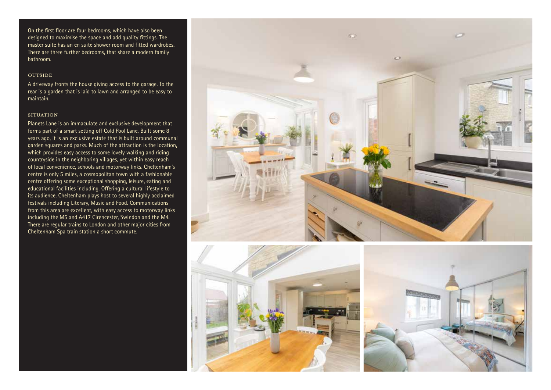On the first floor are four bedrooms, which have also been designed to maximise the space and add quality fittings. The master suite has an en suite shower room and fitted wardrobes. There are three further bedrooms, that share a modern family bathroom.

## **OUTSIDE**

A driveway fronts the house giving access to the garage. To the rear is a garden that is laid to lawn and arranged to be easy to maintain.

## **SITUATION**

Planets Lane is an immaculate and exclusive development that forms part of a smart setting off Cold Pool Lane. Built some 8 years ago, it is an exclusive estate that is built around communal garden squares and parks. Much of the attraction is the location, which provides easy access to some lovely walking and riding countryside in the neighboring villages, yet within easy reach of local convenience, schools and motorway links. Cheltenham's centre is only 5 miles, a cosmopolitan town with a fashionable centre offering some exceptional shopping, leisure, eating and educational facilities including. Offering a cultural lifestyle to its audience, Cheltenham plays host to several highly acclaimed festivals including Literary, Music and Food. Communications from this area are excellent, with easy access to motorway links including the M5 and A417 Cirencester, Swindon and the M4. There are regular trains to London and other major cities from Cheltenham Spa train station a short commute.